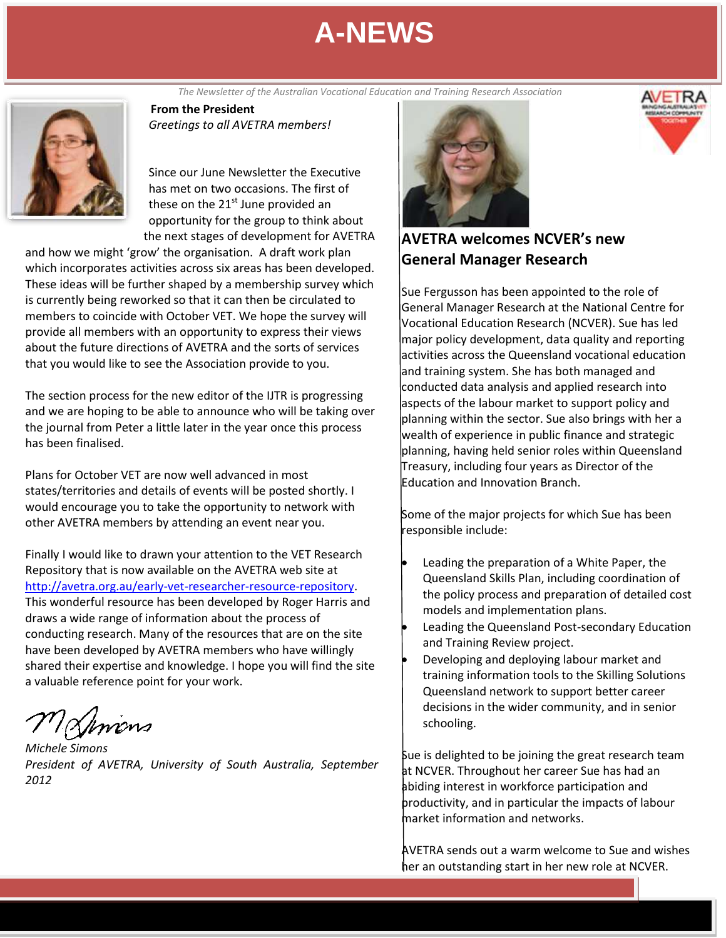**From the President June 2012** *The Newsletter of the Australian Vocational Education and Training Research Association*



*Greetings to all AVETRA members!*

Since our June Newsletter the Executive has met on two occasions. The first of these on the  $21<sup>st</sup>$  June provided an opportunity for the group to think about the next stages of development for AVETRA

and how we might 'grow' the organisation. A draft work plan which incorporates activities across six areas has been developed. These ideas will be further shaped by a membership survey which is currently being reworked so that it can then be circulated to members to coincide with October VET. We hope the survey will provide all members with an opportunity to express their views about the future directions of AVETRA and the sorts of services that you would like to see the Association provide to you.

The section process for the new editor of the IJTR is progressing and we are hoping to be able to announce who will be taking over the journal from Peter a little later in the year once this process has been finalised.

Plans for October VET are now well advanced in most states/territories and details of events will be posted shortly. I would encourage you to take the opportunity to network with other AVETRA members by attending an event near you.

Finally I would like to drawn your attention to the VET Research Repository that is now available on the AVETRA web site at [http://avetra.org.au/early-vet-researcher-resource-repository.](http://avetra.org.au/early-vet-researcher-resource-repository) This wonderful resource has been developed by Roger Harris and draws a wide range of information about the process of conducting research. Many of the resources that are on the site have been developed by AVETRA members who have willingly shared their expertise and knowledge. I hope you will find the site a valuable reference point for your work.

Vincus

*Michele Simons President of AVETRA, University of South Australia, September 2012*



### **AVETRA welcomes NCVER's new General Manager Research**

Sue Fergusson has been appointed to the role of General Manager Research at the National Centre for Vocational Education Research (NCVER). Sue has led major policy development, data quality and reporting activities across the Queensland vocational education and training system. She has both managed and conducted data analysis and applied research into aspects of the labour market to support policy and planning within the sector. Sue also brings with her a wealth of experience in public finance and strategic planning, having held senior roles within Queensland Treasury, including four years as Director of the Education and Innovation Branch.

Some of the major projects for which Sue has been responsible include:

- Leading the preparation of a White Paper, the Queensland Skills Plan, including coordination of the policy process and preparation of detailed cost models and implementation plans.
- Leading the Queensland Post-secondary Education and Training Review project.
- Developing and deploying labour market and training information tools to the Skilling Solutions Queensland network to support better career decisions in the wider community, and in senior schooling.

Sue is delighted to be joining the great research team at NCVER. Throughout her career Sue has had an abiding interest in workforce participation and productivity, and in particular the impacts of labour market information and networks.

AVETRA sends out a warm welcome to Sue and wishes her an outstanding start in her new role at NCVER.

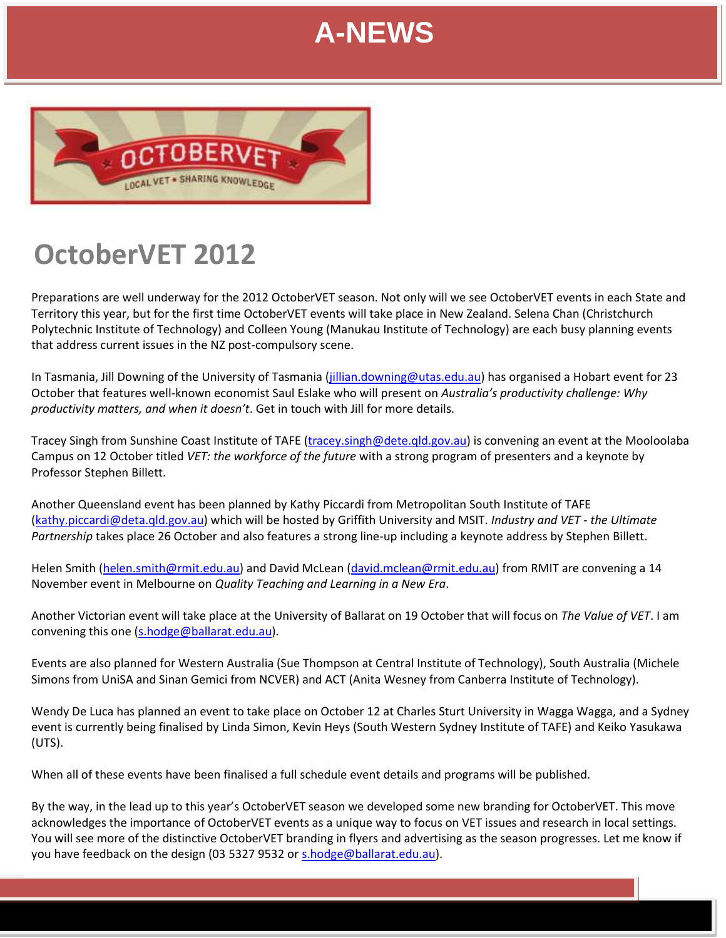

# **OctoberVET 2012**

Preparations are well underway for the 2012 OctoberVET season. Not only will we see OctoberVET events in each State and Territory this year, but for the first time OctoberVET events will take place in New Zealand. Selena Chan (Christchurch Polytechnic Institute of Technology) and Colleen Young (Manukau Institute of Technology) are each busy planning events that address current issues in the NZ post-compulsory scene.

In Tasmania, Jill Downing of the University of Tasmania [\(jillian.downing@utas.edu.au\)](mailto:jillian.downing@utas.edu.au) has organised a Hobart event for 23 October that features well-known economist Saul Eslake who will present on *Australia's productivity challenge: Why productivity matters, and when it doesn't*. Get in touch with Jill for more details.

Tracey Singh from Sunshine Coast Institute of TAFE [\(tracey.singh@dete.qld.gov.au\)](mailto:tracey.singh@dete.qld.gov.au) is convening an event at the Mooloolaba Campus on 12 October titled *VET: the workforce of the future* with a strong program of presenters and a keynote by Professor Stephen Billett.

Another Queensland event has been planned by Kathy Piccardi from Metropolitan South Institute of TAFE [\(kathy.piccardi@deta.qld.gov.au\)](mailto:kathy.piccardi@deta.qld.gov.au) which will be hosted by Griffith University and MSIT. *Industry and VET - the Ultimate Partnership* takes place 26 October and also features a strong line-up including a keynote address by Stephen Billett.

Helen Smith [\(helen.smith@rmit.edu.au\)](mailto:helen.smith@rmit.edu.au) and David McLean [\(david.mclean@rmit.edu.au\)](mailto:david.mclean@rmit.edu.au) from RMIT are convening a 14 November event in Melbourne on *Quality Teaching and Learning in a New Era*.

Another Victorian event will take place at the University of Ballarat on 19 October that will focus on *The Value of VET*. I am convening this one [\(s.hodge@ballarat.edu.au\)](mailto:s.hodge@ballarat.edu.au).

Events are also planned for Western Australia (Sue Thompson at Central Institute of Technology), South Australia (Michele Simons from UniSA and Sinan Gemici from NCVER) and ACT (Anita Wesney from Canberra Institute of Technology).

Wendy De Luca has planned an event to take place on October 12 at Charles Sturt University in Wagga Wagga, and a Sydney event is currently being finalised by Linda Simon, Kevin Heys (South Western Sydney Institute of TAFE) and Keiko Yasukawa (UTS).

When all of these events have been finalised a full schedule event details and programs will be published.

By the way, in the lead up to this year's OctoberVET season we developed some new branding for OctoberVET. This move acknowledges the importance of OctoberVET events as a unique way to focus on VET issues and research in local settings. You will see more of the distinctive OctoberVET branding in flyers and advertising as the season progresses. Let me know if you have feedback on the design (03 5327 9532 o[r s.hodge@ballarat.edu.au\)](mailto:s.hodge@ballarat.edu.au).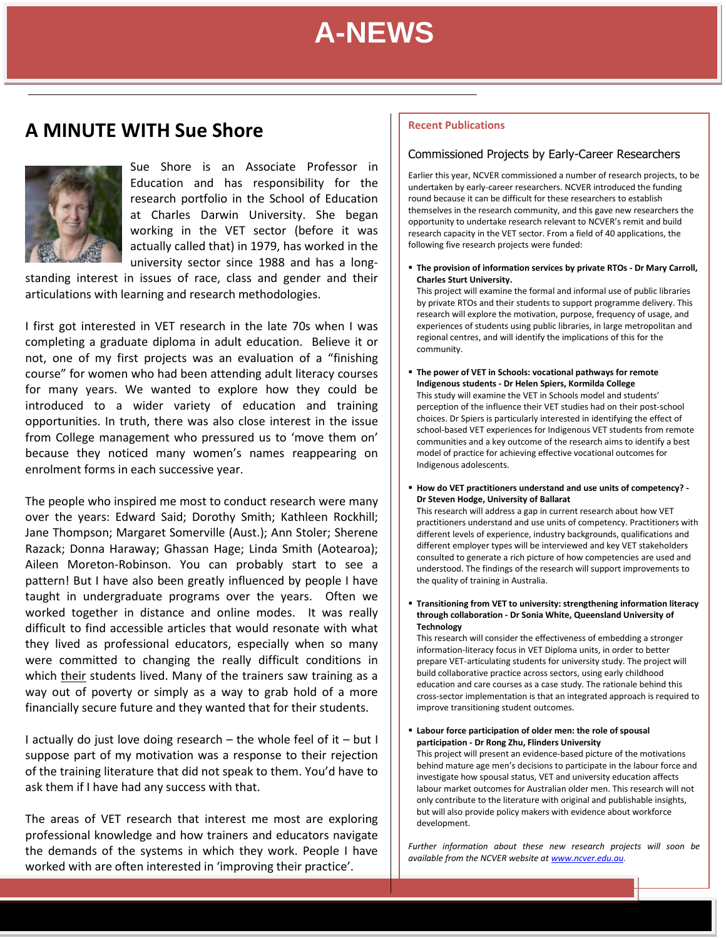**June 2012**<br>استخدام با

### **A MINUTE WITH Sue Shore**



Sue Shore is an Associate Professor in Education and has responsibility for the research portfolio in the School of Education at Charles Darwin University. She began working in the VET sector (before it was actually called that) in 1979, has worked in the university sector since 1988 and has a long-

standing interest in issues of race, class and gender and their articulations with learning and research methodologies.

I first got interested in VET research in the late 70s when I was completing a graduate diploma in adult education. Believe it or not, one of my first projects was an evaluation of a "finishing course" for women who had been attending adult literacy courses for many years. We wanted to explore how they could be introduced to a wider variety of education and training opportunities. In truth, there was also close interest in the issue from College management who pressured us to 'move them on' because they noticed many women's names reappearing on enrolment forms in each successive year.

The people who inspired me most to conduct research were many over the years: Edward Said; Dorothy Smith; Kathleen Rockhill; Jane Thompson; Margaret Somerville (Aust.); Ann Stoler; Sherene Razack; Donna Haraway; Ghassan Hage; Linda Smith (Aotearoa); Aileen Moreton-Robinson. You can probably start to see a pattern! But I have also been greatly influenced by people I have taught in undergraduate programs over the years. Often we worked together in distance and online modes. It was really difficult to find accessible articles that would resonate with what they lived as professional educators, especially when so many were committed to changing the really difficult conditions in which their students lived. Many of the trainers saw training as a way out of poverty or simply as a way to grab hold of a more financially secure future and they wanted that for their students.

I actually do just love doing research – the whole feel of it – but I suppose part of my motivation was a response to their rejection of the training literature that did not speak to them. You'd have to ask them if I have had any success with that.

The areas of VET research that interest me most are exploring professional knowledge and how trainers and educators navigate the demands of the systems in which they work. People I have worked with are often interested in 'improving their practice'.

#### **Recent Publications**

#### Commissioned Projects by Early-Career Researchers

Earlier this year, NCVER commissioned a number of research projects, to be undertaken by early-career researchers. NCVER introduced the funding round because it can be difficult for these researchers to establish themselves in the research community, and this gave new researchers the opportunity to undertake research relevant to NCVER's remit and build research capacity in the VET sector. From a field of 40 applications, the following five research projects were funded:

 **The provision of information services by private RTOs - Dr Mary Carroll, Charles Sturt University.**

This project will examine the formal and informal use of public libraries by private RTOs and their students to support programme delivery. This research will explore the motivation, purpose, frequency of usage, and experiences of students using public libraries, in large metropolitan and regional centres, and will identify the implications of this for the community.

- **The power of VET in Schools: vocational pathways for remote Indigenous students - Dr Helen Spiers, Kormilda College** This study will examine the VET in Schools model and students' perception of the influence their VET studies had on their post-school choices. Dr Spiers is particularly interested in identifying the effect of school-based VET experiences for Indigenous VET students from remote communities and a key outcome of the research aims to identify a best model of practice for achieving effective vocational outcomes for Indigenous adolescents.
- **How do VET practitioners understand and use units of competency? - Dr Steven Hodge, University of Ballarat**

This research will address a gap in current research about how VET practitioners understand and use units of competency. Practitioners with different levels of experience, industry backgrounds, qualifications and different employer types will be interviewed and key VET stakeholders consulted to generate a rich picture of how competencies are used and understood. The findings of the research will support improvements to the quality of training in Australia.

 **Transitioning from VET to university: strengthening information literacy through collaboration - Dr Sonia White, Queensland University of Technology**

This research will consider the effectiveness of embedding a stronger information-literacy focus in VET Diploma units, in order to better prepare VET-articulating students for university study. The project will build collaborative practice across sectors, using early childhood education and care courses as a case study. The rationale behind this cross-sector implementation is that an integrated approach is required to improve transitioning student outcomes.

 **Labour force participation of older men: the role of spousal participation - Dr Rong Zhu, Flinders University** This project will present an evidence-based picture of the motivations behind mature age men's decisions to participate in the labour force and investigate how spousal status, VET and university education affects labour market outcomes for Australian older men. This research will not only contribute to the literature with original and publishable insights, but will also provide policy makers with evidence about workforce development.

*Further information about these new research projects will soon be available from the NCVER website at [www.ncver.edu.au.](http://www.ncver.edu.au/)*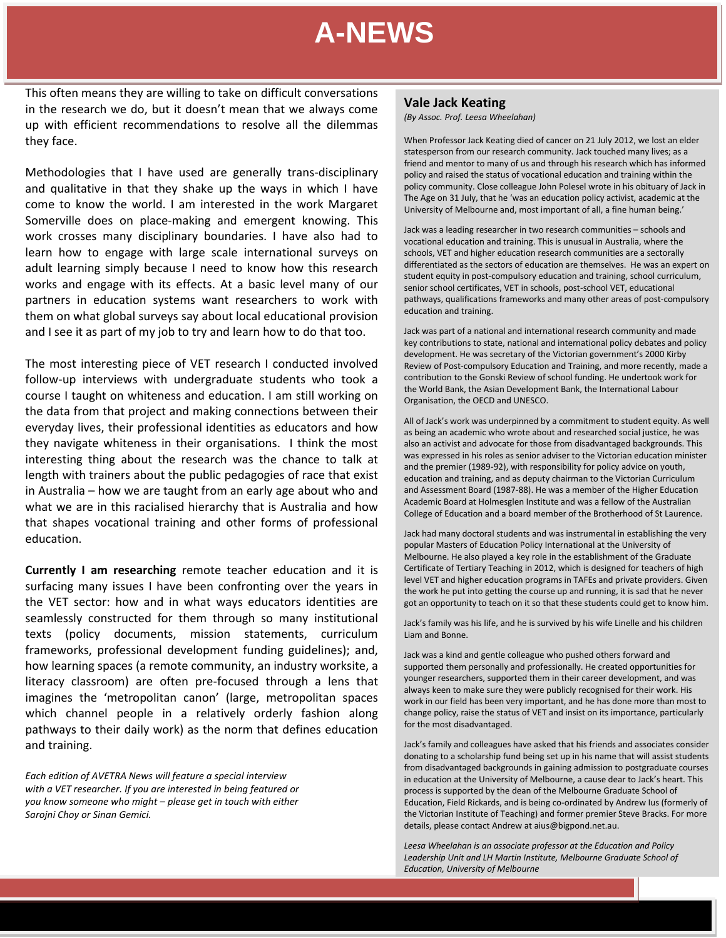This often means they are willing to take on difficult conversations<br>in the research we do, but it doesn't mean that we always come up with efficient recommendations to resolve all the dilemmas they face.

Methodologies that I have used are generally trans-disciplinary and qualitative in that they shake up the ways in which I have come to know the world. I am interested in the work Margaret Somerville does on place-making and emergent knowing. This work crosses many disciplinary boundaries. I have also had to learn how to engage with large scale international surveys on adult learning simply because I need to know how this research works and engage with its effects. At a basic level many of our partners in education systems want researchers to work with them on what global surveys say about local educational provision and I see it as part of my job to try and learn how to do that too.

The most interesting piece of VET research I conducted involved follow-up interviews with undergraduate students who took a course I taught on whiteness and education. I am still working on the data from that project and making connections between their everyday lives, their professional identities as educators and how they navigate whiteness in their organisations. I think the most interesting thing about the research was the chance to talk at length with trainers about the public pedagogies of race that exist in Australia – how we are taught from an early age about who and what we are in this racialised hierarchy that is Australia and how that shapes vocational training and other forms of professional education.

**Currently I am researching** remote teacher education and it is surfacing many issues I have been confronting over the years in the VET sector: how and in what ways educators identities are seamlessly constructed for them through so many institutional texts (policy documents, mission statements, curriculum frameworks, professional development funding guidelines); and, how learning spaces (a remote community, an industry worksite, a literacy classroom) are often pre-focused through a lens that imagines the 'metropolitan canon' (large, metropolitan spaces which channel people in a relatively orderly fashion along pathways to their daily work) as the norm that defines education and training.

*Each edition of AVETRA News will feature a special interview with a VET researcher. If you are interested in being featured or you know someone who might – please get in touch with either Sarojni Choy or Sinan Gemici.*

#### **Vale Jack Keating**

*(By Assoc. Prof. Leesa Wheelahan)*

When Professor Jack Keating died of cancer on 21 July 2012, we lost an elder statesperson from our research community. Jack touched many lives; as a friend and mentor to many of us and through his research which has informed policy and raised the status of vocational education and training within the policy community. Close colleague John Polesel wrote in his obituary of Jack in The Age on 31 July, that he 'was an education policy activist, academic at the University of Melbourne and, most important of all, a fine human being.'

Jack was a leading researcher in two research communities – schools and vocational education and training. This is unusual in Australia, where the schools, VET and higher education research communities are a sectorally differentiated as the sectors of education are themselves. He was an expert on student equity in post-compulsory education and training, school curriculum, senior school certificates, VET in schools, post-school VET, educational pathways, qualifications frameworks and many other areas of post-compulsory education and training.

Jack was part of a national and international research community and made key contributions to state, national and international policy debates and policy development. He was secretary of the Victorian government's 2000 Kirby Review of Post-compulsory Education and Training, and more recently, made a contribution to the Gonski Review of school funding. He undertook work for the World Bank, the Asian Development Bank, the International Labour Organisation, the OECD and UNESCO.

All of Jack's work was underpinned by a commitment to student equity. As well as being an academic who wrote about and researched social justice, he was also an activist and advocate for those from disadvantaged backgrounds. This was expressed in his roles as senior adviser to the Victorian education minister and the premier (1989-92), with responsibility for policy advice on youth, education and training, and as deputy chairman to the Victorian Curriculum and Assessment Board (1987-88). He was a member of the Higher Education Academic Board at Holmesglen Institute and was a fellow of the Australian College of Education and a board member of the Brotherhood of St Laurence.

Jack had many doctoral students and was instrumental in establishing the very popular Masters of Education Policy International at the University of Melbourne. He also played a key role in the establishment of the Graduate Certificate of Tertiary Teaching in 2012, which is designed for teachers of high level VET and higher education programs in TAFEs and private providers. Given the work he put into getting the course up and running, it is sad that he never got an opportunity to teach on it so that these students could get to know him.

Jack's family was his life, and he is survived by his wife Linelle and his children Liam and Bonne.

Jack was a kind and gentle colleague who pushed others forward and supported them personally and professionally. He created opportunities for younger researchers, supported them in their career development, and was always keen to make sure they were publicly recognised for their work. His work in our field has been very important, and he has done more than most to change policy, raise the status of VET and insist on its importance, particularly for the most disadvantaged.

Jack's family and colleagues have asked that his friends and associates consider donating to a scholarship fund being set up in his name that will assist students from disadvantaged backgrounds in gaining admission to postgraduate courses in education at the University of Melbourne, a cause dear to Jack's heart. This process is supported by the dean of the Melbourne Graduate School of Education, Field Rickards, and is being co-ordinated by Andrew Ius (formerly of the Victorian Institute of Teaching) and former premier Steve Bracks. For more details, please contact Andrew at aius@bigpond.net.au.

*Leesa Wheelahan is an associate professor at the Education and Policy Leadership Unit and LH Martin Institute, Melbourne Graduate School of Education, University of Melbourne*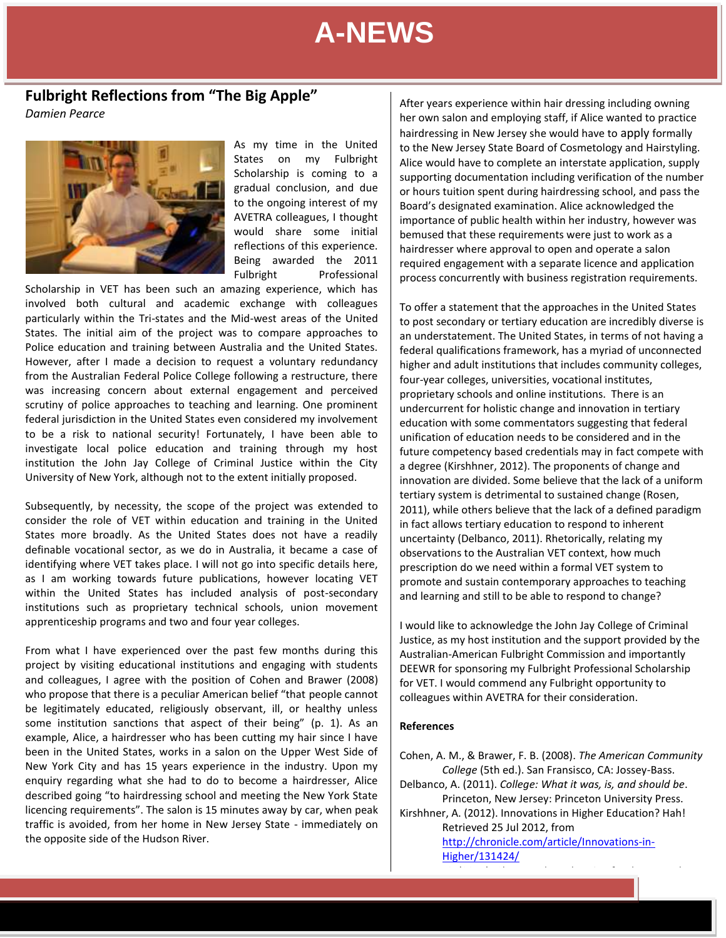### **Fulbright Reflections from "The Big Apple"**

*Damien Pearce* 



As my time in the United States on my Fulbright Scholarship is coming to a gradual conclusion, and due to the ongoing interest of my AVETRA colleagues, I thought would share some initial reflections of this experience. Being awarded the 2011 Fulbright Professional

Scholarship in VET has been such an amazing experience, which has involved both cultural and academic exchange with colleagues particularly within the Tri-states and the Mid-west areas of the United States. The initial aim of the project was to compare approaches to Police education and training between Australia and the United States. However, after I made a decision to request a voluntary redundancy from the Australian Federal Police College following a restructure, there was increasing concern about external engagement and perceived scrutiny of police approaches to teaching and learning. One prominent federal jurisdiction in the United States even considered my involvement to be a risk to national security! Fortunately, I have been able to investigate local police education and training through my host institution the John Jay College of Criminal Justice within the City University of New York, although not to the extent initially proposed.

Subsequently, by necessity, the scope of the project was extended to consider the role of VET within education and training in the United States more broadly. As the United States does not have a readily definable vocational sector, as we do in Australia, it became a case of identifying where VET takes place. I will not go into specific details here, as I am working towards future publications, however locating VET within the United States has included analysis of post-secondary institutions such as proprietary technical schools, union movement apprenticeship programs and two and four year colleges.

From what I have experienced over the past few months during this project by visiting educational institutions and engaging with students and colleagues, I agree with the position of Cohen and Brawer (2008) who propose that there is a peculiar American belief "that people cannot be legitimately educated, religiously observant, ill, or healthy unless some institution sanctions that aspect of their being" (p. 1). As an example, Alice, a hairdresser who has been cutting my hair since I have been in the United States, works in a salon on the Upper West Side of New York City and has 15 years experience in the industry. Upon my enquiry regarding what she had to do to become a hairdresser, Alice described going "to hairdressing school and meeting the New York State licencing requirements". The salon is 15 minutes away by car, when peak traffic is avoided, from her home in New Jersey State - immediately on the opposite side of the Hudson River.

After years experience within hair dressing including owning her own salon and employing staff, if Alice wanted to practice hairdressing in New Jersey she would have to apply formally to the New Jersey State Board of Cosmetology and Hairstyling. Alice would have to complete an interstate application, supply supporting documentation including verification of the number or hours tuition spent during hairdressing school, and pass the Board's designated examination. Alice acknowledged the importance of public health within her industry, however was bemused that these requirements were just to work as a hairdresser where approval to open and operate a salon required engagement with a separate licence and application process concurrently with business registration requirements.

To offer a statement that the approaches in the United States to post secondary or tertiary education are incredibly diverse is an understatement. The United States, in terms of not having a federal qualifications framework, has a myriad of unconnected higher and adult institutions that includes community colleges, four-year colleges, universities, vocational institutes, proprietary schools and online institutions. There is an undercurrent for holistic change and innovation in tertiary education with some commentators suggesting that federal unification of education needs to be considered and in the future competency based credentials may in fact compete with a degree (Kirshhner, 2012). The proponents of change and innovation are divided. Some believe that the lack of a uniform tertiary system is detrimental to sustained change (Rosen, 2011), while others believe that the lack of a defined paradigm in fact allows tertiary education to respond to inherent uncertainty (Delbanco, 2011). Rhetorically, relating my observations to the Australian VET context, how much prescription do we need within a formal VET system to promote and sustain contemporary approaches to teaching and learning and still to be able to respond to change?

I would like to acknowledge the John Jay College of Criminal Justice, as my host institution and the support provided by the Australian-American Fulbright Commission and importantly DEEWR for sponsoring my Fulbright Professional Scholarship for VET. I would commend any Fulbright opportunity to colleagues within AVETRA for their consideration.

#### **References**

Cohen, A. M., & Brawer, F. B. (2008). *The American Community College* (5th ed.). San Fransisco, CA: Jossey-Bass. Delbanco, A. (2011). *College: What it was, is, and should be*. Princeton, New Jersey: Princeton University Press. Kirshhner, A. (2012). Innovations in Higher Education? Hah! Retrieved 25 Jul 2012, from [http://chronicle.com/article/Innovations-in-](http://chronicle.com/article/Innovations-in-Higher/131424/)

[Higher/131424/](http://chronicle.com/article/Innovations-in-Higher/131424/)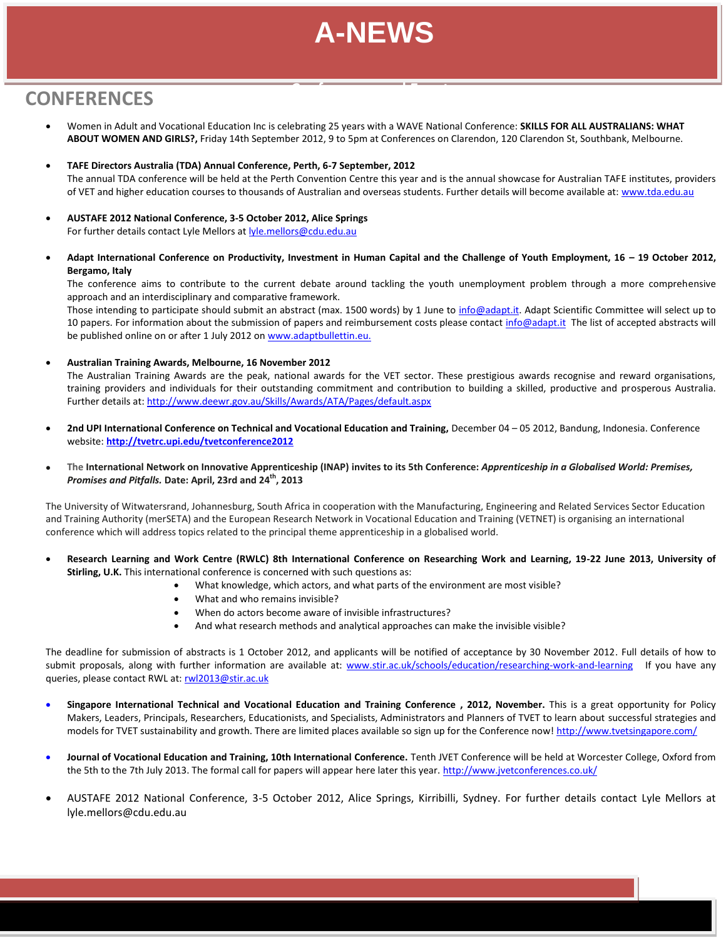**Conferences and Events**

### **CONFERENCES June 2012**

- Women in Adult and Vocational Education Inc is celebrating 25 years with a WAVE National Conference: **SKILLS FOR ALL AUSTRALIANS: WHAT ABOUT WOMEN AND GIRLS?,** Friday 14th September 2012, 9 to 5pm at Conferences on Clarendon, 120 Clarendon St, Southbank, Melbourne.
- **TAFE Directors Australia (TDA) Annual Conference, Perth, 6-7 September, 2012** The annual TDA conference will be held at the Perth Convention Centre this year and is the annual showcase for Australian TAFE institutes, providers of VET and higher education courses to thousands of Australian and overseas students. Further details will become available at[: www.tda.edu.au](http://www.tda.edu.au/)
- **AUSTAFE 2012 National Conference, 3-5 October 2012, Alice Springs** For further details contact Lyle Mellors at [lyle.mellors@cdu.edu.au](mailto:lyle.mellors@cdu.edu.au)
- Adapt International Conference on Productivity, Investment in Human Capital and the Challenge of Youth Employment, 16 19 October 2012, **Bergamo, Italy**

The conference aims to contribute to the current debate around tackling the youth unemployment problem through a more comprehensive approach and an interdisciplinary and comparative framework.

Those intending to participate should submit an abstract (max. 1500 words) by 1 June to [info@adapt.it.](mailto:info@adapt.it) Adapt Scientific Committee will select up to 10 papers. For information about the submission of papers and reimbursement costs please contac[t info@adapt.it](mailto:info@adapt.it) The list of accepted abstracts will be published online on or after 1 July 2012 on [www.adaptbullettin.eu.](http://www.adaptbullettin.eu/)

**Australian Training Awards, Melbourne, 16 November 2012**

approach and an interdisciplinary and comparative framework.

The Australian Training Awards are the peak, national awards for the VET sector. These prestigious awards recognise and reward organisations, training providers and individuals for their outstanding commitment and contribution to building a skilled, productive and prosperous Australia. Further details at:<http://www.deewr.gov.au/Skills/Awards/ATA/Pages/default.aspx>

- **2nd UPI International Conference on Technical and Vocational Education and Training,** December 04 05 2012, Bandung, Indonesia. Conference website: **<http://tvetrc.upi.edu/tvetconference2012>**
- **The International Network on Innovative Apprenticeship (INAP) invites to its 5th Conference:** *Apprenticeship in a Globalised World: Premises, Promises and Pitfalls.* **Date: April, 23rd and 24th , 2013**

The University of Witwatersrand, Johannesburg, South Africa in cooperation with the Manufacturing, Engineering and Related Services Sector Education and Training Authority (merSETA) and the European Research Network in Vocational Education and Training (VETNET) is organising an international conference which will address topics related to the principal theme apprenticeship in a globalised world.

- **Research Learning and Work Centre (RWLC) 8th International Conference on Researching Work and Learning, 19-22 June 2013, University of Stirling, U.K.** This international conference is concerned with such questions as:
	- What knowledge, which actors, and what parts of the environment are most visible?
	- What and who remains invisible?
	- When do actors become aware of invisible infrastructures?
	- And what research methods and analytical approaches can make the invisible visible?

The deadline for submission of abstracts is 1 October 2012, and applicants will be notified of acceptance by 30 November 2012. Full details of how to submit proposals, along with further information are available at: [www.stir.ac.uk/schools/education/researching-work-and-learning](http://www.stir.ac.uk/schools/education/researching-work-and-learning) If you have any queries, please contact RWL at[: rwl2013@stir.ac.uk](mailto:rwl2013@stir.ac.uk)

- **Singapore International Technical and Vocational Education and Training Conference , 2012, November.** This is a great opportunity for Policy Makers, Leaders, Principals, Researchers, Educationists, and Specialists, Administrators and Planners of TVET to learn about successful strategies and models for TVET sustainability and growth. There are limited places available so sign up for the Conference now! http://www.tvetsingapore.com/
- **Journal of Vocational Education and Training, 10th International Conference.** Tenth JVET Conference will be held at Worcester College, Oxford from the 5th to the 7th July 2013. The formal call for papers will appear here later this year[. http://www.jvetconferences.co.uk/](http://www.jvetconferences.co.uk/)
- AUSTAFE 2012 National Conference, 3-5 October 2012, Alice Springs, Kirribilli, Sydney. For further details contact Lyle Mellors at lyle.mellors@cdu.edu.au

The contribute to the current debate around tackling the youth understandance  $\mathcal{L}_\text{max}$